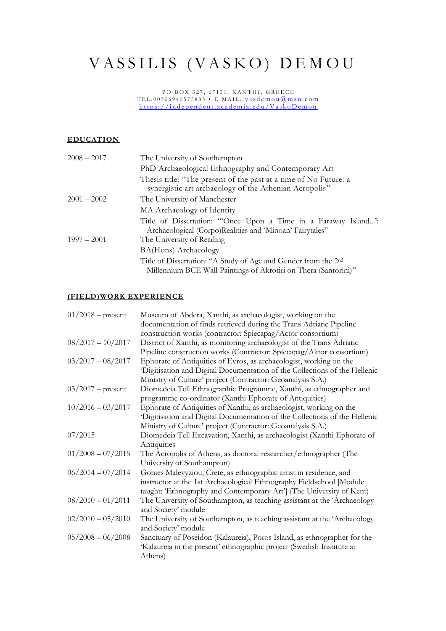# VASSILIS (VASKO) DEMOU

PO-BOX 327, 67131, XANTHI, GREECE TEL:00306940575885 • E-MAIL: <u>vasdemou@msn.com</u> https://independent.academia.edu/VaskoDemou

### **EDUCATION**

| $2008 - 2017$ | The University of Southampton                                                                                                                 |
|---------------|-----------------------------------------------------------------------------------------------------------------------------------------------|
|               | PhD Archaeological Ethnography and Contemporary Art                                                                                           |
|               | Thesis title: "The present of the past at a time of No Future: a<br>synergistic art archaeology of the Athenian Acropolis"                    |
| $2001 - 2002$ | The University of Manchester                                                                                                                  |
|               | MA Archaeology of Identity                                                                                                                    |
|               | Title of Dissertation: "Once Upon a Time in a Faraway Island"<br>Archaeological (Corpo)Realities and 'Minoan' Fairytales"                     |
| $1997 - 2001$ | The University of Reading                                                                                                                     |
|               | BA(Hons) Archaeology                                                                                                                          |
|               | Title of Dissertation: "A Study of Age and Gender from the 2 <sup>nd</sup><br>Millennium BCE Wall Paintings of Akrotiri on Thera (Santorini)" |

#### **(FIELD)WORK EXPERIENCE**

| $01/2018$ – present | Museum of Abdera, Xanthi, as archaeologist, working on the                |
|---------------------|---------------------------------------------------------------------------|
|                     | documentation of finds retrieved during the Trans Adriatic Pipeline       |
|                     | construction works (contractor: Spiecapag/Actor consortium)               |
| $08/2017 - 10/2017$ | District of Xanthi, as monitoring archaeologist of the Trans Adriatic     |
|                     | Pipeline construction works (Contractor: Spiecapag/Aktor consortium)      |
| $03/2017 - 08/2017$ | Ephorate of Antiquities of Evros, as archaeologist, working on the        |
|                     | Digitisation and Digital Documentation of the Collections of the Hellenic |
|                     | Ministry of Culture' project (Contractor: Geoanalysis S.A.)               |
| $03/2017$ – present | Diomedeia Tell Ethnographic Programme, Xanthi, as ethnographer and        |
|                     | programme co-ordinator (Xanthi Ephorate of Antiquities)                   |
| $10/2016 - 03/2017$ | Ephorate of Antiquities of Xanthi, as archaeologist, working on the       |
|                     | Digitisation and Digital Documentation of the Collections of the Hellenic |
|                     | Ministry of Culture' project (Contractor: Geoanalysis S.A.)               |
| 07/2015             | Diomedeia Tell Excavation, Xanthi, as archaeologist (Xanthi Ephorate of   |
|                     | Antiquities                                                               |
| $01/2008 - 07/2015$ | The Acropolis of Athens, as doctoral researcher/ethnographer (The         |
|                     | University of Southampton)                                                |
| $06/2014 - 07/2014$ | Gonies Malevyziou, Crete, as ethnographic artist in residence, and        |
|                     | instructor at the 1st Archaeological Ethnography Fieldschool [Module      |
|                     | taught: 'Ethnography and Contemporary Art'] (The University of Kent)      |
| $08/2010 - 01/2011$ | The University of Southampton, as teaching assistant at the 'Archaeology  |
|                     | and Society' module                                                       |
| $02/2010 - 05/2010$ | The University of Southampton, as teaching assistant at the 'Archaeology  |
|                     | and Society' module                                                       |
| $05/2008 - 06/2008$ | Sanctuary of Poseidon (Kalaureia), Poros Island, as ethnographer for the  |
|                     | 'Kalaureia in the present' ethnographic project (Swedish Institute at     |
|                     | Athens)                                                                   |